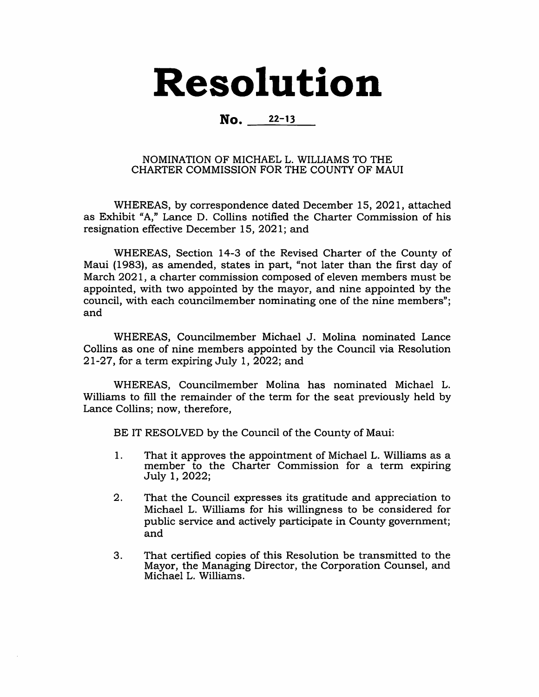## Resolution

## No. 22-13

## NOMINATION OF MICHAEL L. WILLIAMS TO THE CHARTER COMMISSION FOR THE COUNTY OF MAUI

WHEREAS, by correspondence dated December 15, 2021, attached as Exhibit "A," Lance D. Collins notified the Charter Commission of his resignation effective December 15, 2021; and

WHEREAS, Section 14-3 of the Revised Charter of the County of Maui (1983), as amended, states in part, "not later than the first day of March 2021, a charter commission composed of eleven members must be appointed, with two appointed by the mayor, and nine appointed by the council, with each councilmember nominating one of the nine members"; and

WHEREAS, Councilmember Michael J. Molina nominated Lance Collins as one of nine members appointed by the Council via Resolution 21-27, for a term expiring July 1, 2022; and

WHEREAS, Councilmember Molina has nominated Michael L. Williams to fill the remainder of the term for the seat previously held by Lance Collins; now, therefore.

BE IT RESOLVED by the Council of the County of Maui:

- That it approves the appointment of Michael L. Williams as a member to the Charter Commission for a term expiring July 1, 2022; 1.
- That the Council expresses its gratitude and appreciation to Michael L. Williams for his willingness to be considered for public service and actively participate in County government; and 2.
- That certified copies of this Resolution be transmitted to the Mayor, the Managing Director, the Corporation Counsel, and Michael L. Williams. 3.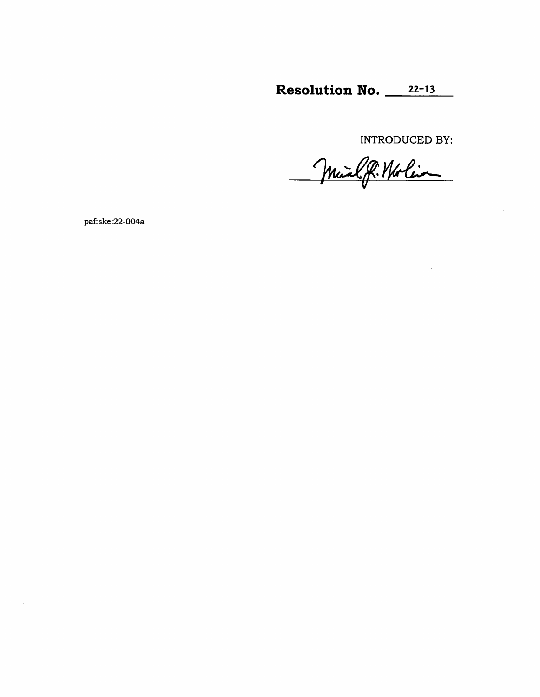Resolution No.  $22-13$ 

INTRODUCED BY:

Mail P. Norlin

paf:ske:22-004a

 $\sim$